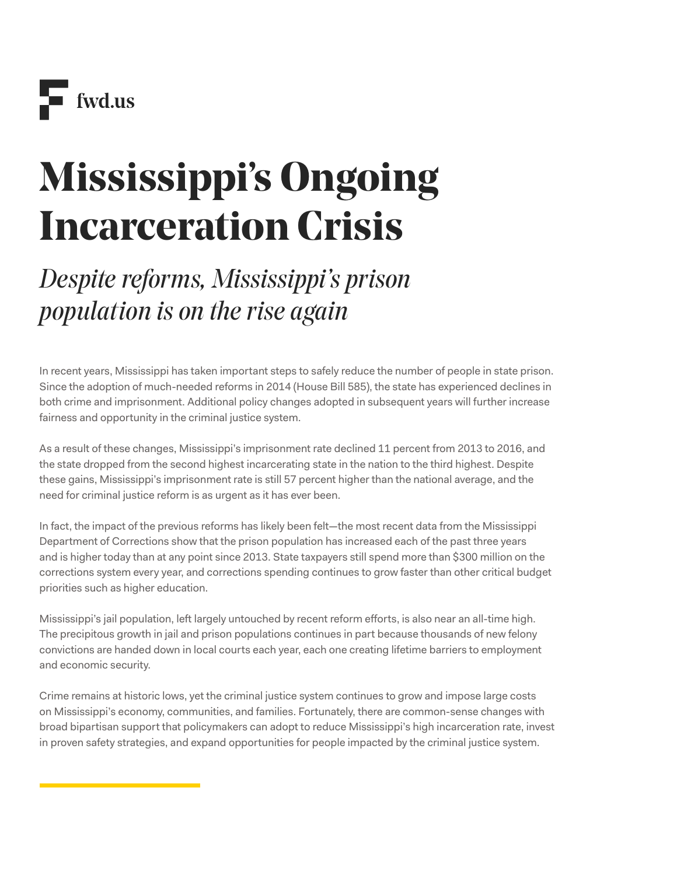# **Mississippi's Ongoing Incarceration Crisis**

# *Despite reforms, Mississippi's prison population is on the rise again*

In recent years, Mississippi has taken important steps to safely reduce the number of people in state prison. Since the adoption of much-needed reforms in 2014 (House Bill 585), the state has experienced declines in both crime and imprisonment. Additional policy changes adopted in subsequent years will further increase fairness and opportunity in the criminal justice system.

As a result of these changes, Mississippi's imprisonment rate declined 11 percent from 2013 to 2016, and the state dropped from the second highest incarcerating state in the nation to the third highest. Despite these gains, Mississippi's imprisonment rate is still 57 percent higher than the national average, and the need for criminal justice reform is as urgent as it has ever been.

In fact, the impact of the previous reforms has likely been felt—the most recent data from the Mississippi Department of Corrections show that the prison population has increased each of the past three years and is higher today than at any point since 2013. State taxpayers still spend more than \$300 million on the corrections system every year, and corrections spending continues to grow faster than other critical budget priorities such as higher education.

Mississippi's jail population, left largely untouched by recent reform efforts, is also near an all-time high. The precipitous growth in jail and prison populations continues in part because thousands of new felony convictions are handed down in local courts each year, each one creating lifetime barriers to employment and economic security.

Crime remains at historic lows, yet the criminal justice system continues to grow and impose large costs on Mississippi's economy, communities, and families. Fortunately, there are common-sense changes with broad bipartisan support that policymakers can adopt to reduce Mississippi's high incarceration rate, invest in proven safety strategies, and expand opportunities for people impacted by the criminal justice system.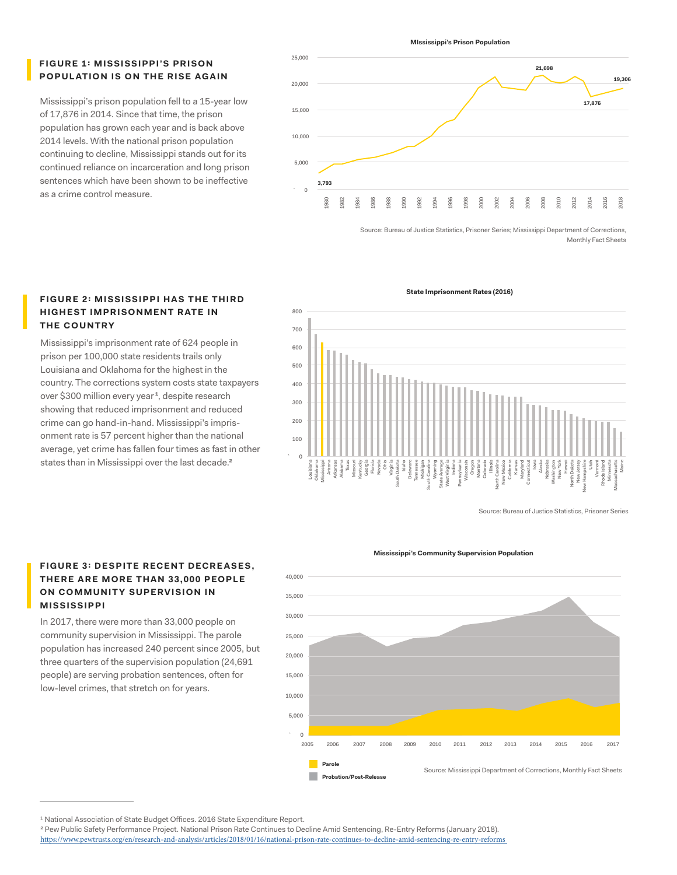# **FIGURE 1: MISSISSIPPI'S PRISON POPULATION IS ON THE RISE AGAIN**

Mississippi's prison population fell to a 15-year low of 17,876 in 2014. Since that time, the prison population has grown each year and is back above 2014 levels. With the national prison population continuing to decline, Mississippi stands out for its continued reliance on incarceration and long prison sentences which have been shown to be ineffective as a crime control measure.

20,000 25,000 15,000 10,000 **19,306 21,698 17,876 3,793** 1980 1982 1984 1986 1988 1990 1992 1994 1996 1998 2000 2002 2004  $\delta$ 2008 2010 2012 2014 2016 2018 5,000  $\alpha$ 

**MIssissippi's Prison Population**

Source: Bureau of Justice Statistics, Prisoner Series; Mississippi Department of Corrections, Monthly Fact Sheets

# **FIGURE 2: MISSISSIPPI HAS THE THIRD HIG HEST IMPRISONMENT RATE IN THE C OUNTRY**

Mississippi's imprisonment rate of 624 people in prison per 100,000 state residents trails only Louisiana and Oklahoma for the highest in the country. The corrections system costs state taxpayers over \$300 million every year<sup>1</sup>, despite research showing that reduced imprisonment and reduced crime can go hand-in-hand. Mississippi's imprisonment rate is 57 percent higher than the national average, yet crime has fallen four times as fast in other states than in Mississippi over the last decade.<sup>2</sup>

**FIGURE 3: DESPITE RECENT DECREASES, THERE ARE MORE THAN 33,000 PEOPLE ON COMMUNITY SUPERVISION IN** 

In 2017, there were more than 33,000 people on community supervision in Mississippi. The parole population has increased 240 percent since 2005, but three quarters of the supervision population (24,691 people) are serving probation sentences, often for low-level crimes, that stretch on for years.

**MISSISSIPPI**



Source: Bureau of Justice Statistics, Prisoner Series

#### **Mississippi's Community Supervision Population**



 $^{\rm 1}$  National Association of State Budget Offices. 2016 State Expenditure Report.

**State Imprisonment Rates (2016)**

<sup>2</sup> Pew Public Safety Performance Project. National Prison Rate Continues to Decline Amid Sentencing, Re-Entry Reforms (January 2018).

<https://www.pewtrusts.org/en/research-and-analysis/articles/2018/01/16/national-prison-rate-continues-to-decline-amid-sentencing-re-entry-reforms>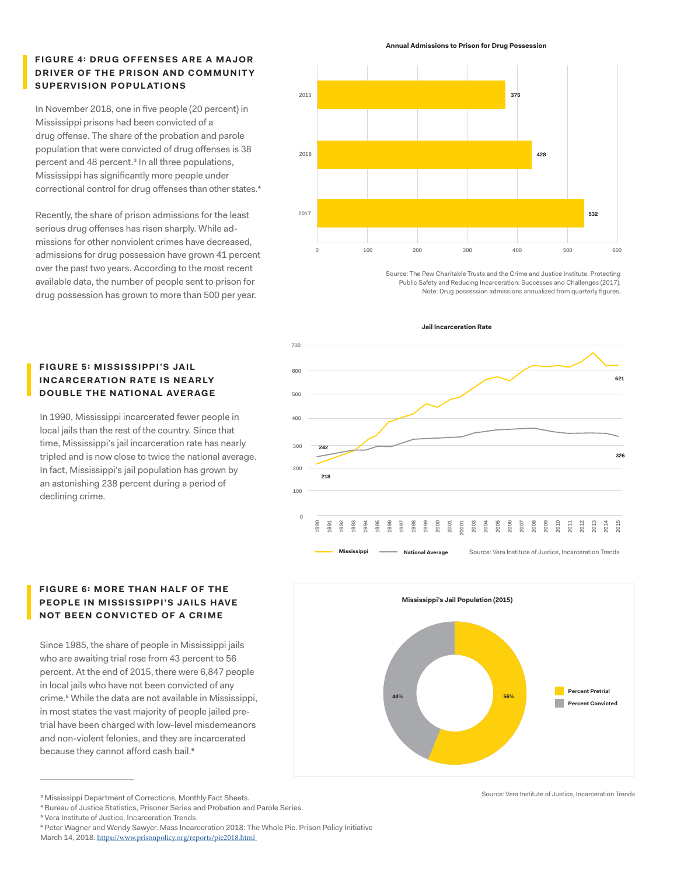# **FIGURE 4: DRUG OFFENSES ARE A MAJOR DRIVER OF THE PRISON AND COMMUNITY SUPERVISION POPULATIONS**

In November 2018, one in five people (20 percent) in Mississippi prisons had been convicted of a drug offense. The share of the probation and parole population that were convicted of drug offenses is 38 percent and 48 percent.<sup>3</sup> In all three populations, Mississippi has significantly more people under correctional control for drug offenses than other states. 4

Recently, the share of prison admissions for the least serious drug offenses has risen sharply. While admissions for other nonviolent crimes have decreased, admissions for drug possession have grown 41 percent over the past two years. According to the most recent available data, the number of people sent to prison for drug possession has grown to more than 500 per year.

# **FIGURE 5: MISSISSIPPI'S JAIL INCARCERATION RATE IS NEARLY DOUBLE THE NATIONAL AVERAGE**

In 1990, Mississippi incarcerated fewer people in local jails than the rest of the country. Since that time, Mississippi's jail incarceration rate has nearly tripled and is now close to twice the national average. In fact, Mississippi's jail population has grown by an astonishing 238 percent during a period of declining crime.

#### **Annual Admissions to Prison for Drug Possession**



Source: The Pew Charitable Trusts and the Crime and Justice Institute, Protecting Public Safety and Reducing Incarceration: Successes and Challenges (2017). Note: Drug possession admissions annualized from quarterly figures.



**Mississippi's Jail Population (2015)**

**44% 56%**



Since 1985, the share of people in Mississippi jails who are awaiting trial rose from 43 percent to 56 percent. At the end of 2015, there were 6,847 people in local jails who have not been convicted of any crime.5 While the data are not available in Mississippi, in most states the vast majority of people jailed pretrial have been charged with low-level misdemeanors and non-violent felonies, and they are incarcerated because they cannot afford cash bail.<sup>6</sup>

**Percent Convicted Percent Pretrial**

<sup>&</sup>lt;sup>3</sup> Mississippi Department of Corrections, Monthly Fact Sheets. **3 Mississippi Department of Corrections**, Monthly Fact Sheets.

<sup>4</sup> Bureau of Justice Statistics, Prisoner Series and Probation and Parole Series.

<sup>&</sup>lt;sup>5</sup> Vera Institute of Justice, Incarceration Trends.

<sup>&</sup>lt;sup>6</sup> Peter Wagner and Wendy Sawyer. Mass Incarceration 2018: The Whole Pie. Prison Policy Initiative

March 14, 2018. <https://www.prisonpolicy.org/reports/pie2018.html>